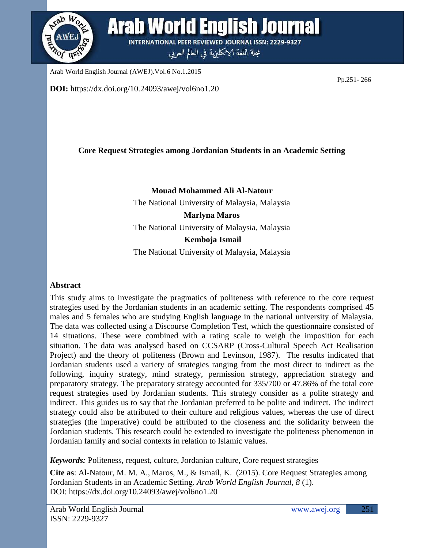

**DOI:** https://dx.doi.org/10.24093/awej/vol6no1.20

# **Core Request Strategies among Jordanian Students in an Academic Setting**

**Mouad Mohammed Ali Al-Natour** The National University of Malaysia, Malaysia **Marlyna Maros** The National University of Malaysia, Malaysia **Kemboja Ismail** The National University of Malaysia, Malaysia

### **Abstract**

This study aims to investigate the pragmatics of politeness with reference to the core request strategies used by the Jordanian students in an academic setting. The respondents comprised 45 males and 5 females who are studying English language in the national university of Malaysia. The data was collected using a Discourse Completion Test, which the questionnaire consisted of 14 situations. These were combined with a rating scale to weigh the imposition for each situation. The data was analysed based on CCSARP (Cross-Cultural Speech Act Realisation Project) and the theory of politeness (Brown and Levinson, 1987). The results indicated that Jordanian students used a variety of strategies ranging from the most direct to indirect as the following, inquiry strategy, mind strategy, permission strategy, appreciation strategy and preparatory strategy. The preparatory strategy accounted for 335/700 or 47.86% of the total core request strategies used by Jordanian students. This strategy consider as a polite strategy and indirect. This guides us to say that the Jordanian preferred to be polite and indirect. The indirect strategy could also be attributed to their culture and religious values, whereas the use of direct strategies (the imperative) could be attributed to the closeness and the solidarity between the Jordanian students. This research could be extended to investigate the politeness phenomenon in Jordanian family and social contexts in relation to Islamic values.

*Keywords:* Politeness, request, culture, Jordanian culture, Core request strategies

**Cite as**: Al-Natour, M. M. A., Maros, M., & Ismail, K. (2015). Core Request Strategies among Jordanian Students in an Academic Setting. *Arab World English Journal, 8* (1). DOI: https://dx.doi.org/10.24093/awej/vol6no1.20

Pp.251- 266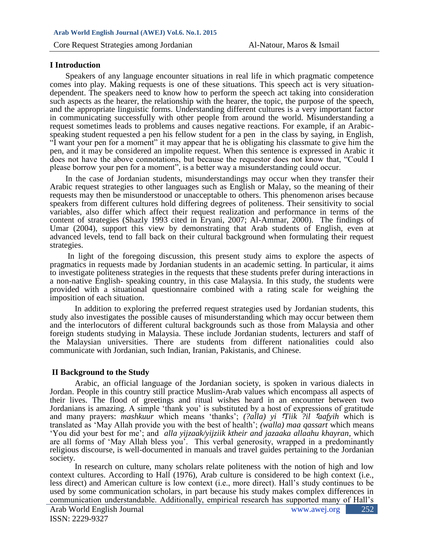#### **I Introduction**

Speakers of any language encounter situations in real life in which pragmatic competence comes into play. Making requests is one of these situations. This speech act is very situationdependent. The speakers need to know how to perform the speech act taking into consideration such aspects as the hearer, the relationship with the hearer, the topic, the purpose of the speech, and the appropriate linguistic forms. Understanding different cultures is a very important factor in communicating successfully with other people from around the world. Misunderstanding a request sometimes leads to problems and causes negative reactions. For example, if an Arabicspeaking student requested a pen his fellow student for a pen in the class by saying, in English, "I want your pen for a moment" it may appear that he is obligating his classmate to give him the pen, and it may be considered an impolite request. When this sentence is expressed in Arabic it does not have the above connotations, but because the requestor does not know that, "Could I please borrow your pen for a moment", is a better way a misunderstanding could occur.

In the case of Jordanian students, misunderstandings may occur when they transfer their Arabic request strategies to other languages such as English or Malay, so the meaning of their requests may then be misunderstood or unacceptable to others. This phenomenon arises because speakers from different cultures hold differing degrees of politeness. Their sensitivity to social variables, also differ which affect their request realization and performance in terms of the content of strategies (Shazly 1993 cited in Eryani, 2007; Al-Ammar, 2000). The findings of Umar (2004), support this view by demonstrating that Arab students of English, even at advanced levels, tend to fall back on their cultural background when formulating their request strategies.

In light of the foregoing discussion, this present study aims to explore the aspects of pragmatics in requests made by Jordanian students in an academic setting. In particular, it aims to investigate politeness strategies in the requests that these students prefer during interactions in a non-native English- speaking country, in this case Malaysia. In this study, the students were provided with a situational questionnaire combined with a rating scale for weighing the imposition of each situation.

In addition to exploring the preferred request strategies used by Jordanian students, this study also investigates the possible causes of misunderstanding which may occur between them and the interlocutors of different cultural backgrounds such as those from Malaysia and other foreign students studying in Malaysia. These include Jordanian students, lecturers and staff of the Malaysian universities. There are students from different nationalities could also communicate with Jordanian, such Indian, Iranian, Pakistanis, and Chinese.

### **II Background to the Study**

Arabic, an official language of the Jordanian society, is spoken in various dialects in Jordan. People in this country still practice Muslim-Arab values which encompass all aspects of their lives. The flood of greetings and ritual wishes heard in an encounter between two Jordanians is amazing. A simple 'thank you' is substituted by a host of expressions of gratitude and many prayers: *mashkuur* which means 'thanks'; *(?alla)* yi *Tiik ?il 'aafyih* which is translated as 'May Allah provide you with the best of health'; *(walla) maa qassart* which means 'You did your best for me'; and *alla yijzaak/yijziik ktheir and jazaaka allaahu khayran*, which are all forms of 'May Allah bless you'. This verbal generosity, wrapped in a predominantly religious discourse, is well-documented in manuals and travel guides pertaining to the Jordanian society.

In research on culture, many scholars relate politeness with the notion of high and low context cultures. According to Hall (1976), Arab culture is considered to be high context (i.e., less direct) and American culture is low context (i.e., more direct). Hall's study continues to be used by some communication scholars, in part because his study makes complex differences in communication understandable. Additionally, empirical research has supported many of Hall's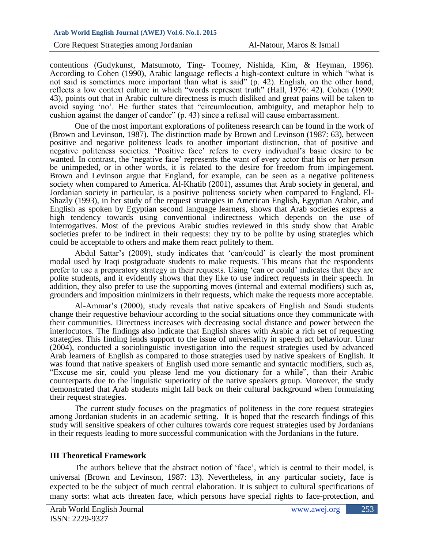contentions (Gudykunst, Matsumoto, Ting- Toomey, Nishida, Kim, & Heyman, 1996). According to Cohen (1990), Arabic language reflects a high-context culture in which "what is not said is sometimes more important than what is said" (p. 42). English, on the other hand, reflects a low context culture in which "words represent truth" (Hall, 1976: 42). Cohen (1990: 43), points out that in Arabic culture directness is much disliked and great pains will be taken to avoid saying 'no'. He further states that "circumlocution, ambiguity, and metaphor help to cushion against the danger of candor" (p. 43) since a refusal will cause embarrassment.

One of the most important explorations of politeness research can be found in the work of (Brown and Levinson, 1987). The distinction made by Brown and Levinson (1987: 63), between positive and negative politeness leads to another important distinction, that of positive and negative politeness societies. 'Positive face' refers to every individual's basic desire to be wanted. In contrast, the 'negative face' represents the want of every actor that his or her person be unimpeded, or in other words, it is related to the desire for freedom from impingement. Brown and Levinson argue that England, for example, can be seen as a negative politeness society when compared to America. Al-Khatib (2001), assumes that Arab society in general, and Jordanian society in particular, is a positive politeness society when compared to England. El-Shazly (1993), in her study of the request strategies in American English, Egyptian Arabic, and English as spoken by Egyptian second language learners, shows that Arab societies express a high tendency towards using conventional indirectness which depends on the use of interrogatives. Most of the previous Arabic studies reviewed in this study show that Arabic societies prefer to be indirect in their requests: they try to be polite by using strategies which could be acceptable to others and make them react politely to them.

Abdul Sattar's (2009), study indicates that 'can/could' is clearly the most prominent modal used by Iraqi postgraduate students to make requests. This means that the respondents prefer to use a preparatory strategy in their requests. Using 'can or could' indicates that they are polite students, and it evidently shows that they like to use indirect requests in their speech. In addition, they also prefer to use the supporting moves (internal and external modifiers) such as, grounders and imposition minimizers in their requests, which make the requests more acceptable.

Al-Ammar's (2000), study reveals that native speakers of English and Saudi students change their requestive behaviour according to the social situations once they communicate with their communities. Directness increases with decreasing social distance and power between the interlocutors. The findings also indicate that English shares with Arabic a rich set of requesting strategies. This finding lends support to the issue of universality in speech act behaviour. Umar (2004), conducted a sociolinguistic investigation into the request strategies used by advanced Arab learners of English as compared to those strategies used by native speakers of English. It was found that native speakers of English used more semantic and syntactic modifiers, such as, "Excuse me sir, could you please lend me you dictionary for a while", than their Arabic counterparts due to the linguistic superiority of the native speakers group. Moreover, the study demonstrated that Arab students might fall back on their cultural background when formulating their request strategies.

The current study focuses on the pragmatics of politeness in the core request strategies among Jordanian students in an academic setting. It is hoped that the research findings of this study will sensitive speakers of other cultures towards core request strategies used by Jordanians in their requests leading to more successful communication with the Jordanians in the future.

### **III Theoretical Framework**

The authors believe that the abstract notion of 'face', which is central to their model, is universal (Brown and Levinson, 1987: 13). Nevertheless, in any particular society, face is expected to be the subject of much central elaboration. It is subject to cultural specifications of many sorts: what acts threaten face, which persons have special rights to face-protection, and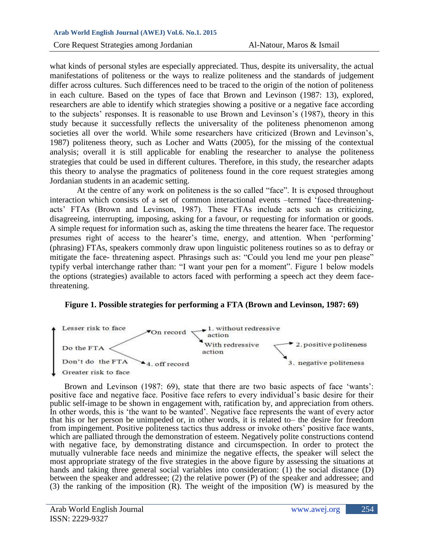Core Request Strategies among Jordanian Al-Natour, Maros & Ismail

what kinds of personal styles are especially appreciated. Thus, despite its universality, the actual manifestations of politeness or the ways to realize politeness and the standards of judgement differ across cultures. Such differences need to be traced to the origin of the notion of politeness in each culture. Based on the types of face that Brown and Levinson (1987: 13), explored, researchers are able to identify which strategies showing a positive or a negative face according to the subjects' responses. It is reasonable to use Brown and Levinson's (1987), theory in this study because it successfully reflects the universality of the politeness phenomenon among societies all over the world. While some researchers have criticized (Brown and Levinson's, 1987) politeness theory, such as Locher and Watts (2005), for the missing of the contextual analysis; overall it is still applicable for enabling the researcher to analyse the politeness strategies that could be used in different cultures. Therefore, in this study, the researcher adapts this theory to analyse the pragmatics of politeness found in the core request strategies among Jordanian students in an academic setting.

At the centre of any work on politeness is the so called "face". It is exposed throughout interaction which consists of a set of common interactional events –termed 'face-threateningacts' FTAs (Brown and Levinson, 1987). These FTAs include acts such as criticizing, disagreeing, interrupting, imposing, asking for a favour, or requesting for information or goods. A simple request for information such as, asking the time threatens the hearer face. The requestor presumes right of access to the hearer's time, energy, and attention. When 'performing' (phrasing) FTAs, speakers commonly draw upon linguistic politeness routines so as to defray or mitigate the face- threatening aspect. Phrasings such as: "Could you lend me your pen please" typify verbal interchange rather than: "I want your pen for a moment". Figure 1 below models the options (strategies) available to actors faced with performing a speech act they deem facethreatening.

### **Figure 1. Possible strategies for performing a FTA (Brown and Levinson, 1987: 69)**



Brown and Levinson (1987: 69), state that there are two basic aspects of face 'wants': positive face and negative face. Positive face refers to every individual's basic desire for their public self-image to be shown in engagement with, ratification by, and appreciation from others. In other words, this is 'the want to be wanted'. Negative face represents the want of every actor that his or her person be unimpeded or, in other words, it is related to– the desire for freedom from impingement. Positive politeness tactics thus address or invoke others' positive face wants, which are palliated through the demonstration of esteem. Negatively polite constructions contend with negative face, by demonstrating distance and circumspection. In order to protect the mutually vulnerable face needs and minimize the negative effects, the speaker will select the most appropriate strategy of the five strategies in the above figure by assessing the situations at hands and taking three general social variables into consideration: (1) the social distance (D) between the speaker and addressee; (2) the relative power (P) of the speaker and addressee; and (3) the ranking of the imposition (R). The weight of the imposition (W) is measured by the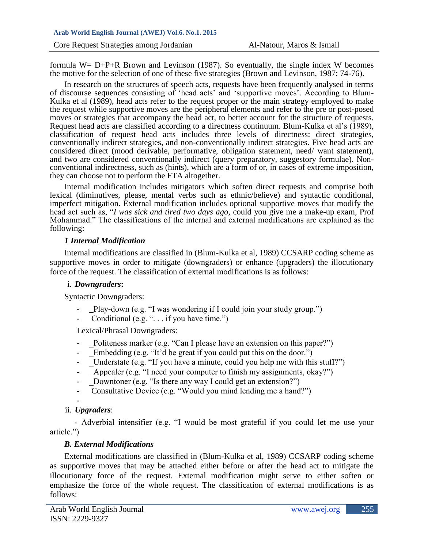formula  $W = D+P+R$  Brown and Levinson (1987). So eventually, the single index W becomes the motive for the selection of one of these five strategies (Brown and Levinson, 1987: 74-76).

In research on the structures of speech acts, requests have been frequently analysed in terms of discourse sequences consisting of 'head acts' and 'supportive moves'. According to Blum-Kulka et al (1989), head acts refer to the request proper or the main strategy employed to make the request while supportive moves are the peripheral elements and refer to the pre or post-posed moves or strategies that accompany the head act, to better account for the structure of requests. Request head acts are classified according to a directness continuum. Blum-Kulka et al's (1989), classification of request head acts includes three levels of directness: direct strategies, conventionally indirect strategies, and non-conventionally indirect strategies. Five head acts are considered direct (mood derivable, performative, obligation statement, need/ want statement), and two are considered conventionally indirect (query preparatory, suggestory formulae). Nonconventional indirectness, such as (hints), which are a form of or, in cases of extreme imposition, they can choose not to perform the FTA altogether.

Internal modification includes mitigators which soften direct requests and comprise both lexical (diminutives, please, mental verbs such as ethnic/believe) and syntactic conditional, imperfect mitigation. External modification includes optional supportive moves that modify the head act such as, "*I was sick and tired two days ago,* could you give me a make-up exam, Prof Mohammad." The classifications of the internal and external modifications are explained as the following:

#### *1 Internal Modification*

Internal modifications are classified in (Blum-Kulka et al, 1989) CCSARP coding scheme as supportive moves in order to mitigate (downgraders) or enhance (upgraders) the illocutionary force of the request. The classification of external modifications is as follows:

### i. *Downgraders***:**

Syntactic Downgraders:

- \_Play-down (e.g. "I was wondering if I could join your study group.")
- Conditional (e.g. "... if you have time.")

Lexical/Phrasal Downgraders:

- Politeness marker (e.g. "Can I please have an extension on this paper?")
- Embedding (e.g. "It'd be great if you could put this on the door.")
- Understate (e.g. "If you have a minute, could you help me with this stuff?")
- \_Appealer (e.g. "I need your computer to finish my assignments, okay?")
- Downtoner (e.g. "Is there any way I could get an extension?")
- Consultative Device (e.g. "Would you mind lending me a hand?")

#### ii. *Upgraders*:

 - Adverbial intensifier (e.g. "I would be most grateful if you could let me use your article.")

# *B. External Modifications*

External modifications are classified in (Blum-Kulka et al, 1989) CCSARP coding scheme as supportive moves that may be attached either before or after the head act to mitigate the illocutionary force of the request. External modification might serve to either soften or emphasize the force of the whole request. The classification of external modifications is as follows: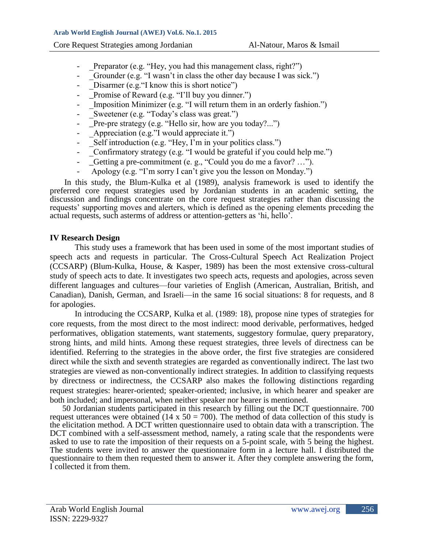- Preparator (e.g. "Hey, you had this management class, right?")
- Grounder (e.g. "I wasn't in class the other day because I was sick.")
- Disarmer (e.g.  $\lq$  know this is short notice")
- \_Promise of Reward (e.g. "I'll buy you dinner.")
- Imposition Minimizer (e.g. "I will return them in an orderly fashion.")
- Sweetener (e.g. "Today's class was great.")
- $\Box$  Pre-pre strategy (e.g. "Hello sir, how are you today?...")
- Appreciation (e.g."I would appreciate it.")
- Self introduction (e.g. "Hey, I'm in your politics class.")
- Confirmatory strategy (e.g. "I would be grateful if you could help me.")
- \_Getting a pre-commitment (e. g., "Could you do me a favor? ...").
- Apology (e.g. "I'm sorry I can't give you the lesson on Monday.")

In this study, the Blum-Kulka et al (1989), analysis framework is used to identify the preferred core request strategies used by Jordanian students in an academic setting, the discussion and findings concentrate on the core request strategies rather than discussing the requests' supporting moves and alerters, which is defined as the opening elements preceding the actual requests, such asterms of address or attention-getters as 'hi, hello'.

# **IV Research Design**

This study uses a framework that has been used in some of the most important studies of speech acts and requests in particular. The Cross-Cultural Speech Act Realization Project (CCSARP) (Blum-Kulka, House, & Kasper, 1989) has been the most extensive cross-cultural study of speech acts to date. It investigates two speech acts, requests and apologies, across seven different languages and cultures—four varieties of English (American, Australian, British, and Canadian), Danish, German, and Israeli—in the same 16 social situations: 8 for requests, and 8 for apologies.

In introducing the CCSARP, Kulka et al. (1989: 18), propose nine types of strategies for core requests, from the most direct to the most indirect: mood derivable, performatives, hedged performatives, obligation statements, want statements, suggestory formulae, query preparatory, strong hints, and mild hints. Among these request strategies, three levels of directness can be identified. Referring to the strategies in the above order, the first five strategies are considered direct while the sixth and seventh strategies are regarded as conventionally indirect. The last two strategies are viewed as non-conventionally indirect strategies. In addition to classifying requests by directness or indirectness, the CCSARP also makes the following distinctions regarding request strategies: hearer-oriented; speaker-oriented; inclusive, in which hearer and speaker are both included; and impersonal, when neither speaker nor hearer is mentioned.

50 Jordanian students participated in this research by filling out the DCT questionnaire. 700 request utterances were obtained (14 x  $50 = 700$ ). The method of data collection of this study is the elicitation method. A DCT written questionnaire used to obtain data with a transcription. The DCT combined with a self-assessment method, namely, a rating scale that the respondents were asked to use to rate the imposition of their requests on a 5-point scale, with 5 being the highest. The students were invited to answer the questionnaire form in a lecture hall. I distributed the questionnaire to them then requested them to answer it. After they complete answering the form, I collected it from them.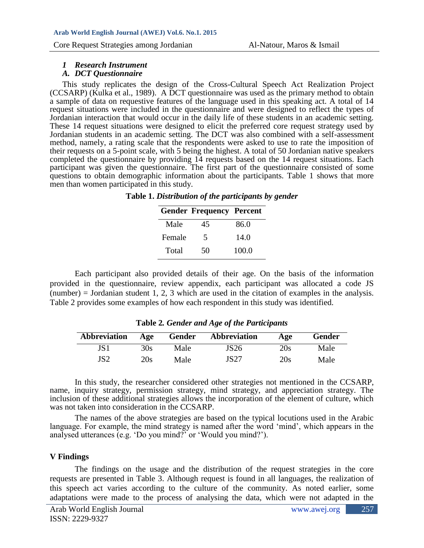#### *1 Research Instrument*

#### *A. DCT Questionnaire*

This study replicates the design of the Cross-Cultural Speech Act Realization Project (CCSARP) (Kulka et al., 1989). A DCT questionnaire was used as the primary method to obtain a sample of data on requestive features of the language used in this speaking act. A total of 14 request situations were included in the questionnaire and were designed to reflect the types of Jordanian interaction that would occur in the daily life of these students in an academic setting. These 14 request situations were designed to elicit the preferred core request strategy used by Jordanian students in an academic setting. The DCT was also combined with a self-assessment method, namely, a rating scale that the respondents were asked to use to rate the imposition of their requests on a 5-point scale, with 5 being the highest. A total of 50 Jordanian native speakers completed the questionnaire by providing 14 requests based on the 14 request situations. Each participant was given the questionnaire. The first part of the questionnaire consisted of some questions to obtain demographic information about the participants. Table 1 shows that more men than women participated in this study.

#### **Table 1.** *Distribution of the participants by gender*

# **Gender Frequency Percent** Male 45 86.0 Female 5 14.0

Total 50 100.0

Each participant also provided details of their age. On the basis of the information provided in the questionnaire, review appendix, each participant was allocated a code JS (number) = Jordanian student 1, 2, 3 which are used in the citation of examples in the analysis. Table 2 provides some examples of how each respondent in this study was identified.

| <b>Abbreviation</b> | Age | Gender | Abbreviation | Age | <b>Gender</b> |
|---------------------|-----|--------|--------------|-----|---------------|
|                     | 30s | Male   | JS26         | 20s | Male          |
| JS2                 | 20s | Male   | JS27         | 20s | Male          |

**Table 2***. Gender and Age of the Participants*

In this study, the researcher considered other strategies not mentioned in the CCSARP, name, inquiry strategy, permission strategy, mind strategy, and appreciation strategy. The inclusion of these additional strategies allows the incorporation of the element of culture, which was not taken into consideration in the CCSARP.

The names of the above strategies are based on the typical locutions used in the Arabic language. For example, the mind strategy is named after the word 'mind', which appears in the analysed utterances (e.g. 'Do you mind?' or 'Would you mind?').

### **V Findings**

The findings on the usage and the distribution of the request strategies in the core requests are presented in Table 3. Although request is found in all languages, the realization of this speech act varies according to the culture of the community. As noted earlier, some adaptations were made to the process of analysing the data, which were not adapted in the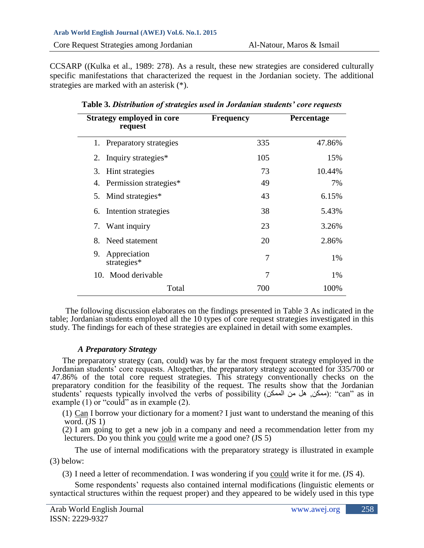CCSARP ((Kulka et al., 1989: 278). As a result, these new strategies are considered culturally specific manifestations that characterized the request in the Jordanian society. The additional strategies are marked with an asterisk (\*).

| <b>Strategy employed in core</b><br>request | <b>Frequency</b> | <b>Percentage</b> |
|---------------------------------------------|------------------|-------------------|
| 1. Preparatory strategies                   | 335              | 47.86%            |
| 2. Inquiry strategies*                      | 105              | 15%               |
| Hint strategies<br>3.                       | 73               | 10.44%            |
| 4. Permission strategies*                   | 49               | 7%                |
| 5. Mind strategies*                         | 43               | 6.15%             |
| 6. Intention strategies                     | 38               | 5.43%             |
| Want inquiry<br>7.                          | 23               | 3.26%             |
| Need statement<br>8.                        | 20               | 2.86%             |
| Appreciation<br>9.<br>strategies*           | 7                | 1%                |
| 10. Mood derivable                          | 7                | 1%                |
| Total                                       | 700              | 100%              |

**Table 3.** *Distribution of strategies used in Jordanian students' core requests*

The following discussion elaborates on the findings presented in Table 3 As indicated in the table; Jordanian students employed all the 10 types of core request strategies investigated in this study. The findings for each of these strategies are explained in detail with some examples.

# *A Preparatory Strategy*

The preparatory strategy (can, could) was by far the most frequent strategy employed in the Jordanian students' core requests. Altogether, the preparatory strategy accounted for 335/700 or 47.86% of the total core request strategies. This strategy conventionally checks on the preparatory condition for the feasibility of the request. The results show that the Jordanian students' requests typically involved the verbs of possibility (الممكن): "can" as in example (1) or "could" as in example (2).

(1) Can I borrow your dictionary for a moment? I just want to understand the meaning of this word. (JS 1)

(2) I am going to get a new job in a company and need a recommendation letter from my lecturers. Do you think you could write me a good one? (JS 5)

The use of internal modifications with the preparatory strategy is illustrated in example (3) below:

(3) I need a letter of recommendation. I was wondering if you could write it for me. (JS 4).

Some respondents' requests also contained internal modifications (linguistic elements or syntactical structures within the request proper) and they appeared to be widely used in this type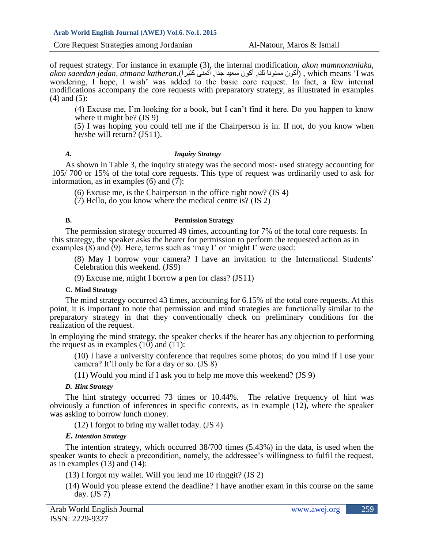of request strategy. For instance in example (3), the internal modification, *akon mamnonanlaka, akon saeedan jedan, atmana katheran*,)كثيرا أتمنى ,جدا سعيد أكون ,لك ممنونا أكون ), which means 'I was wondering, I hope, I wish' was added to the basic core request. In fact, a few internal modifications accompany the core requests with preparatory strategy, as illustrated in examples (4) and (5):

(4) Excuse me, I'm looking for a book, but I can't find it here. Do you happen to know where it might be? (JS 9)

(5) I was hoping you could tell me if the Chairperson is in. If not, do you know when he/she will return? (JS11).

#### *A. Inquiry Strategy*

As shown in Table 3, the inquiry strategy was the second most- used strategy accounting for 105/ 700 or 15% of the total core requests. This type of request was ordinarily used to ask for information, as in examples  $(6)$  and  $(7)$ :

(6) Excuse me, is the Chairperson in the office right now? (JS 4)

(7) Hello, do you know where the medical centre is? (JS 2)

#### **B. Permission Strategy**

The permission strategy occurred 49 times, accounting for 7% of the total core requests. In this strategy, the speaker asks the hearer for permission to perform the requested action as in examples  $(8)$  and  $(9)$ . Here, terms such as 'may I' or 'might I' were used:

(8) May I borrow your camera? I have an invitation to the International Students' Celebration this weekend. (JS9)

(9) Excuse me, might I borrow a pen for class? (JS11)

#### **C. Mind Strategy**

The mind strategy occurred 43 times, accounting for 6.15% of the total core requests. At this point, it is important to note that permission and mind strategies are functionally similar to the preparatory strategy in that they conventionally check on preliminary conditions for the realization of the request.

In employing the mind strategy, the speaker checks if the hearer has any objection to performing the request as in examples  $(10)$  and  $(11)$ :

(10) I have a university conference that requires some photos; do you mind if I use your camera? It'll only be for a day or so. (JS 8)

(11) Would you mind if I ask you to help me move this weekend? (JS 9)

#### *D. Hint Strategy*

The hint strategy occurred 73 times or 10.44%. The relative frequency of hint was obviously a function of inferences in specific contexts, as in example (12), where the speaker was asking to borrow lunch money.

(12) I forgot to bring my wallet today. (JS 4)

### *E. Intention Strategy*

The intention strategy, which occurred 38/700 times (5.43%) in the data, is used when the speaker wants to check a precondition, namely, the addressee's willingness to fulfil the request, as in examples  $(13)$  and  $(14)$ :

- (13) I forgot my wallet. Will you lend me 10 ringgit? (JS 2)
- (14) Would you please extend the deadline? I have another exam in this course on the same day.  $(JS 7)$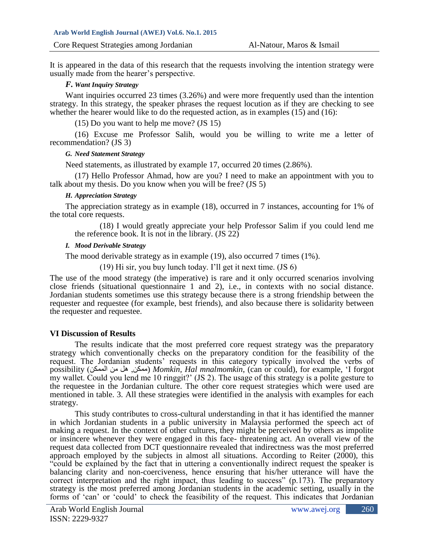It is appeared in the data of this research that the requests involving the intention strategy were usually made from the hearer's perspective.

#### *F. Want Inquiry Strategy*

Want inquiries occurred 23 times (3.26%) and were more frequently used than the intention strategy. In this strategy, the speaker phrases the request locution as if they are checking to see whether the hearer would like to do the requested action, as in examples (15) and (16):

(15) Do you want to help me move? (JS 15)

(16) Excuse me Professor Salih, would you be willing to write me a letter of recommendation? (JS 3)

#### *G. Need Statement Strategy*

Need statements, as illustrated by example 17, occurred 20 times (2.86%).

(17) Hello Professor Ahmad, how are you? I need to make an appointment with you to talk about my thesis. Do you know when you will be free? (JS 5)

#### *H. Appreciation Strategy*

The appreciation strategy as in example (18), occurred in 7 instances, accounting for 1% of the total core requests.

(18) I would greatly appreciate your help Professor Salim if you could lend me the reference book. It is not in the library. (JS 22)

#### *I. Mood Derivable Strategy*

The mood derivable strategy as in example (19), also occurred 7 times (1%).

(19) Hi sir, you buy lunch today. I'll get it next time. (JS 6)

The use of the mood strategy (the imperative) is rare and it only occurred scenarios involving close friends (situational questionnaire 1 and 2), i.e., in contexts with no social distance. Jordanian students sometimes use this strategy because there is a strong friendship between the requester and requestee (for example, best friends), and also because there is solidarity between the requester and requestee.

#### **VI Discussion of Results**

The results indicate that the most preferred core request strategy was the preparatory strategy which conventionally checks on the preparatory condition for the feasibility of the request. The Jordanian students' requests in this category typically involved the verbs of possibility )الممكن من هل ,ممكن (*Momkin, Hal mnalmomkin*, (can or could), for example, 'I forgot my wallet. Could you lend me 10 ringgit?' (JS 2). The usage of this strategy is a polite gesture to the requestee in the Jordanian culture. The other core request strategies which were used are mentioned in table. 3. All these strategies were identified in the analysis with examples for each strategy.

This study contributes to cross-cultural understanding in that it has identified the manner in which Jordanian students in a public university in Malaysia performed the speech act of making a request. In the context of other cultures, they might be perceived by others as impolite or insincere whenever they were engaged in this face- threatening act. An overall view of the request data collected from DCT questionnaire revealed that indirectness was the most preferred approach employed by the subjects in almost all situations. According to Reiter (2000), this "could be explained by the fact that in uttering a conventionally indirect request the speaker is balancing clarity and non-coerciveness, hence ensuring that his/her utterance will have the correct interpretation and the right impact, thus leading to success" (p.173). The preparatory strategy is the most preferred among Jordanian students in the academic setting, usually in the forms of 'can' or 'could' to check the feasibility of the request. This indicates that Jordanian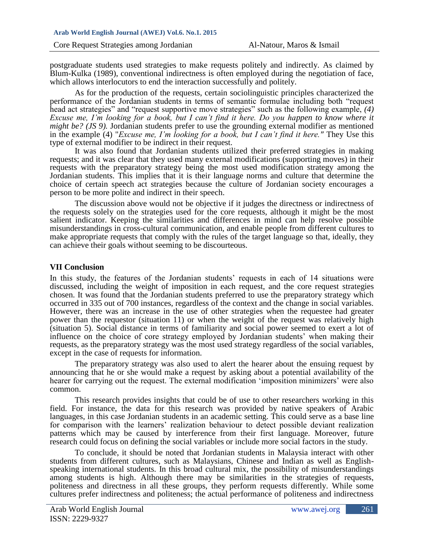postgraduate students used strategies to make requests politely and indirectly. As claimed by Blum-Kulka (1989), conventional indirectness is often employed during the negotiation of face, which allows interlocutors to end the interaction successfully and politely.

As for the production of the requests, certain sociolinguistic principles characterized the performance of the Jordanian students in terms of semantic formulae including both "request head act strategies" and "request supportive move strategies" such as the following example, *(4) Excuse me, I'm looking for a book, but I can't find it here. Do you happen to know where it might be? (JS 9).* Jordanian students prefer to use the grounding external modifier as mentioned in the example (4) "*Excuse me, I'm looking for a book, but I can't find it here."* They Use this type of external modifier to be indirect in their request.

It was also found that Jordanian students utilized their preferred strategies in making requests; and it was clear that they used many external modifications (supporting moves) in their requests with the preparatory strategy being the most used modification strategy among the Jordanian students. This implies that it is their language norms and culture that determine the choice of certain speech act strategies because the culture of Jordanian society encourages a person to be more polite and indirect in their speech.

The discussion above would not be objective if it judges the directness or indirectness of the requests solely on the strategies used for the core requests, although it might be the most salient indicator. Keeping the similarities and differences in mind can help resolve possible misunderstandings in cross-cultural communication, and enable people from different cultures to make appropriate requests that comply with the rules of the target language so that, ideally, they can achieve their goals without seeming to be discourteous.

### **VII Conclusion**

In this study, the features of the Jordanian students' requests in each of 14 situations were discussed, including the weight of imposition in each request, and the core request strategies chosen. It was found that the Jordanian students preferred to use the preparatory strategy which occurred in 335 out of 700 instances, regardless of the context and the change in social variables. However, there was an increase in the use of other strategies when the requestee had greater power than the requestor (situation 11) or when the weight of the request was relatively high (situation 5). Social distance in terms of familiarity and social power seemed to exert a lot of influence on the choice of core strategy employed by Jordanian students' when making their requests, as the preparatory strategy was the most used strategy regardless of the social variables, except in the case of requests for information.

The preparatory strategy was also used to alert the hearer about the ensuing request by announcing that he or she would make a request by asking about a potential availability of the hearer for carrying out the request. The external modification 'imposition minimizers' were also common.

This research provides insights that could be of use to other researchers working in this field. For instance, the data for this research was provided by native speakers of Arabic languages, in this case Jordanian students in an academic setting. This could serve as a base line for comparison with the learners' realization behaviour to detect possible deviant realization patterns which may be caused by interference from their first language. Moreover, future research could focus on defining the social variables or include more social factors in the study.

To conclude, it should be noted that Jordanian students in Malaysia interact with other students from different cultures, such as Malaysians, Chinese and Indian as well as Englishspeaking international students. In this broad cultural mix, the possibility of misunderstandings among students is high. Although there may be similarities in the strategies of requests, politeness and directness in all these groups, they perform requests differently. While some cultures prefer indirectness and politeness; the actual performance of politeness and indirectness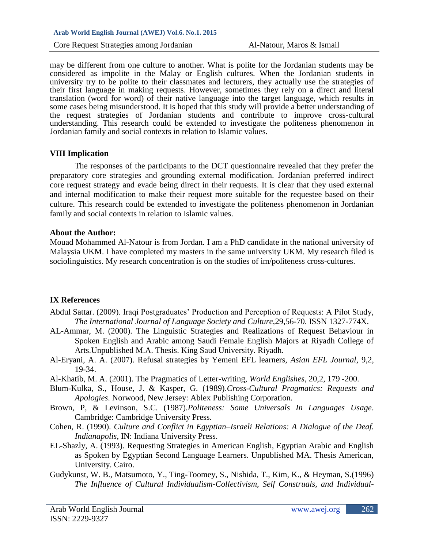may be different from one culture to another. What is polite for the Jordanian students may be considered as impolite in the Malay or English cultures. When the Jordanian students in university try to be polite to their classmates and lecturers, they actually use the strategies of their first language in making requests. However, sometimes they rely on a direct and literal translation (word for word) of their native language into the target language, which results in some cases being misunderstood. It is hoped that this study will provide a better understanding of the request strategies of Jordanian students and contribute to improve cross-cultural understanding. This research could be extended to investigate the politeness phenomenon in Jordanian family and social contexts in relation to Islamic values.

### **VIII Implication**

The responses of the participants to the DCT questionnaire revealed that they prefer the preparatory core strategies and grounding external modification. Jordanian preferred indirect core request strategy and evade being direct in their requests. It is clear that they used external and internal modification to make their request more suitable for the requestee based on their culture. This research could be extended to investigate the politeness phenomenon in Jordanian family and social contexts in relation to Islamic values.

# **About the Author:**

Mouad Mohammed Al-Natour is from Jordan. I am a PhD candidate in the national university of Malaysia UKM. I have completed my masters in the same university UKM. My research filed is sociolinguistics. My research concentration is on the studies of im/politeness cross-cultures.

# **IX References**

- Abdul Sattar. (2009). Iraqi Postgraduates' Production and Perception of Requests: A Pilot Study, *The International Journal of Language Society and Culture,*29,56-70. ISSN 1327-774X.
- AL-Ammar, M. (2000). The Linguistic Strategies and Realizations of Request Behaviour in Spoken English and Arabic among Saudi Female English Majors at Riyadh College of Arts.Unpublished M.A. Thesis. King Saud University. Riyadh.
- Al-Eryani, A. A. (2007). Refusal strategies by Yemeni EFL learners, *Asian EFL Journal*, 9,2, 19-34.
- Al-Khatib, M. A. (2001). The Pragmatics of Letter-writing, *World Englishes*, 20,2, 179 -200.
- Blum-Kulka, S., House, J. & Kasper, G. (1989).*Cross-Cultural Pragmatics: Requests and Apologies*. Norwood, New Jersey: Ablex Publishing Corporation.
- Brown, P, & Levinson, S.C. (1987).*Politeness: Some Universals In Languages Usage*. Cambridge: Cambridge University Press.
- Cohen, R. (1990). *Culture and Conflict in Egyptian–Israeli Relations: A Dialogue of the Deaf. Indianapolis*, IN: Indiana University Press.
- EL-Shazly, A. (1993). Requesting Strategies in American English, Egyptian Arabic and English as Spoken by Egyptian Second Language Learners. Unpublished MA. Thesis American, University. Cairo.
- Gudykunst, W. B., Matsumoto, Y., Ting-Toomey, S., Nishida, T., Kim, K., & Heyman, S.(1996) *The Influence of Cultural Individualism-Collectivism, Self Construals, and Individual-*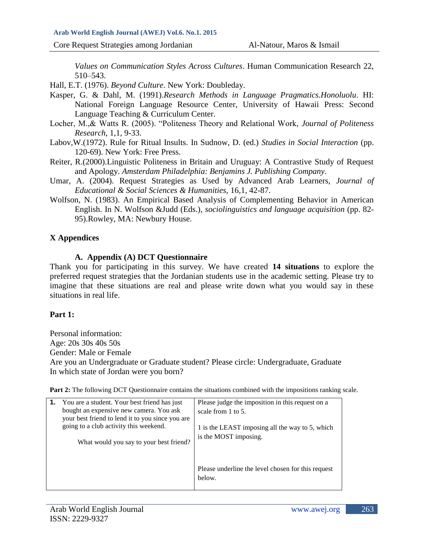*Values on Communication Styles Across Cultures*. Human Communication Research 22, 510–543.

Hall, E.T. (1976). *Beyond Culture*. New York: Doubleday.

- Kasper, G. & Dahl, M. (1991).*Research Methods in Language Pragmatics.Honoluolu*. HI: National Foreign Language Resource Center, University of Hawaii Press: Second Language Teaching & Curriculum Center.
- Locher, M.,& Watts R. (2005). "Politeness Theory and Relational Work, *Journal of Politeness Research*, 1,1, 9-33.
- Labov,W.(1972). Rule for Ritual Insults. In Sudnow, D. (ed.) *Studies in Social Interaction* (pp. 120-69). New York: Free Press.
- Reiter, R.(2000).Linguistic Politeness in Britain and Uruguay: A Contrastive Study of Request and Apology. *Amsterdam Philadelphia: Benjamins J. Publishing Company.*
- Umar, A. (2004). Request Strategies as Used by Advanced Arab Learners, *Journal of Educational & Social Sciences & Humanities,* 16,1, 42-87.
- Wolfson, N. (1983). An Empirical Based Analysis of Complementing Behavior in American English. In N. Wolfson &Judd (Eds.), *sociolinguistics and language acquisition* (pp. 82- 95).Rowley, MA: Newbury House.

# **X Appendices**

# **A. Appendix (A) DCT Questionnaire**

Thank you for participating in this survey. We have created **14 situations** to explore the preferred request strategies that the Jordanian students use in the academic setting. Please try to imagine that these situations are real and please write down what you would say in these situations in real life.

# **Part 1:**

Personal information: Age: 20s 30s 40s 50s Gender: Male or Female Are you an Undergraduate or Graduate student? Please circle: Undergraduate, Graduate In which state of Jordan were you born?

**Part 2:** The following DCT Questionnaire contains the situations combined with the impositions ranking scale.

| <b>1.</b> You are a student. Your best friend has just<br>bought an expensive new camera. You ask<br>your best friend to lend it to you since you are<br>going to a club activity this weekend.<br>What would you say to your best friend? | Please judge the imposition in this request on a<br>scale from 1 to 5.<br>1 is the LEAST imposing all the way to 5, which<br>is the MOST imposing. |
|--------------------------------------------------------------------------------------------------------------------------------------------------------------------------------------------------------------------------------------------|----------------------------------------------------------------------------------------------------------------------------------------------------|
|                                                                                                                                                                                                                                            | Please underline the level chosen for this request<br>below.                                                                                       |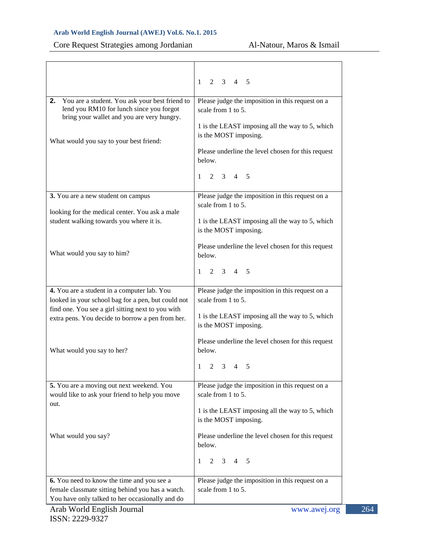# Core Request Strategies among Jordanian Al-Natour, Maros & Ismail

| You are a student. You ask your best friend to<br>2.<br>lend you RM10 for lunch since you forgot<br>bring your wallet and you are very hungry.<br>What would you say to your best friend:                  | $1 \t2 \t3 \t4 \t5$<br>Please judge the imposition in this request on a<br>scale from 1 to 5.<br>1 is the LEAST imposing all the way to 5, which<br>is the MOST imposing.<br>Please underline the level chosen for this request<br>below.<br>$1 \t2 \t3 \t4 \t5$ |
|------------------------------------------------------------------------------------------------------------------------------------------------------------------------------------------------------------|------------------------------------------------------------------------------------------------------------------------------------------------------------------------------------------------------------------------------------------------------------------|
| 3. You are a new student on campus<br>looking for the medical center. You ask a male<br>student walking towards you where it is.                                                                           | Please judge the imposition in this request on a<br>scale from 1 to 5.<br>1 is the LEAST imposing all the way to 5, which<br>is the MOST imposing.                                                                                                               |
| What would you say to him?                                                                                                                                                                                 | Please underline the level chosen for this request<br>below.<br>$2 \t3 \t4 \t5$<br>1                                                                                                                                                                             |
| 4. You are a student in a computer lab. You<br>looked in your school bag for a pen, but could not<br>find one. You see a girl sitting next to you with<br>extra pens. You decide to borrow a pen from her. | Please judge the imposition in this request on a<br>scale from 1 to 5.<br>1 is the LEAST imposing all the way to 5, which<br>is the MOST imposing.                                                                                                               |
| What would you say to her?                                                                                                                                                                                 | Please underline the level chosen for this request<br>below.<br>$1 \t2 \t3 \t4 \t5$                                                                                                                                                                              |
| 5. You are a moving out next weekend. You<br>would like to ask your friend to help you move<br>out.                                                                                                        | Please judge the imposition in this request on a<br>scale from 1 to 5.<br>1 is the LEAST imposing all the way to 5, which<br>is the MOST imposing.                                                                                                               |
| What would you say?                                                                                                                                                                                        | Please underline the level chosen for this request<br>below.<br>$2 \t3 \t4 \t5$<br>$\mathbf{1}$                                                                                                                                                                  |
| 6. You need to know the time and you see a<br>female classmate sitting behind you has a watch.<br>You have only talked to her occasionally and do<br>Arab World English Journal                            | Please judge the imposition in this request on a<br>scale from 1 to 5.<br>www.awej.org                                                                                                                                                                           |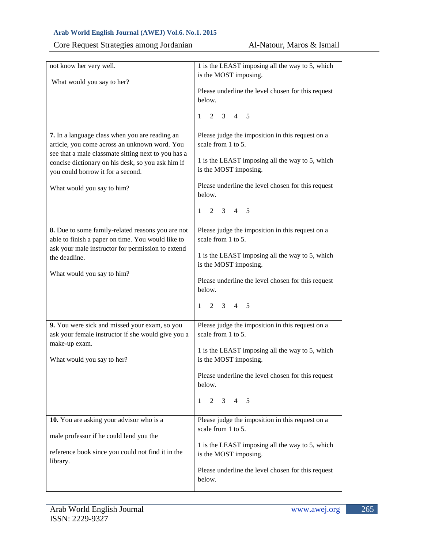| Core Request Strategies among Jordanian |  |  |
|-----------------------------------------|--|--|
|                                         |  |  |

| not know her very well.                                                                         | 1 is the LEAST imposing all the way to 5, which                          |
|-------------------------------------------------------------------------------------------------|--------------------------------------------------------------------------|
|                                                                                                 | is the MOST imposing.                                                    |
| What would you say to her?                                                                      | Please underline the level chosen for this request                       |
|                                                                                                 | below.                                                                   |
|                                                                                                 |                                                                          |
|                                                                                                 | $2 \t3 \t4 \t5$<br>$\mathbf{1}$                                          |
| 7. In a language class when you are reading an<br>article, you come across an unknown word. You | Please judge the imposition in this request on a<br>scale from 1 to 5.   |
| see that a male classmate sitting next to you has a                                             |                                                                          |
| concise dictionary on his desk, so you ask him if                                               | 1 is the LEAST imposing all the way to 5, which<br>is the MOST imposing. |
| you could borrow it for a second.                                                               |                                                                          |
| What would you say to him?                                                                      | Please underline the level chosen for this request<br>below.             |
|                                                                                                 | $1 \t2 \t3 \t4 \t5$                                                      |
| 8. Due to some family-related reasons you are not                                               | Please judge the imposition in this request on a                         |
| able to finish a paper on time. You would like to                                               | scale from 1 to 5.                                                       |
| ask your male instructor for permission to extend                                               | 1 is the LEAST imposing all the way to 5, which                          |
| the deadline.                                                                                   | is the MOST imposing.                                                    |
| What would you say to him?                                                                      |                                                                          |
|                                                                                                 | Please underline the level chosen for this request<br>below.             |
|                                                                                                 |                                                                          |
|                                                                                                 | 2 3 4 5<br>$\mathbf{1}$                                                  |
| 9. You were sick and missed your exam, so you                                                   | Please judge the imposition in this request on a                         |
| ask your female instructor if she would give you a                                              | scale from 1 to 5.                                                       |
| make-up exam.                                                                                   | 1 is the LEAST imposing all the way to 5, which                          |
| What would you say to her?                                                                      | is the MOST imposing.                                                    |
|                                                                                                 |                                                                          |
|                                                                                                 | Please underline the level chosen for this request<br>below.             |
|                                                                                                 | $2 \t3 \t4 \t5$<br>1                                                     |
| 10. You are asking your advisor who is a                                                        | Please judge the imposition in this request on a                         |
|                                                                                                 | scale from 1 to 5.                                                       |
| male professor if he could lend you the                                                         | 1 is the LEAST imposing all the way to 5, which                          |
| reference book since you could not find it in the<br>library.                                   | is the MOST imposing.                                                    |
|                                                                                                 | Please underline the level chosen for this request<br>below.             |
|                                                                                                 |                                                                          |